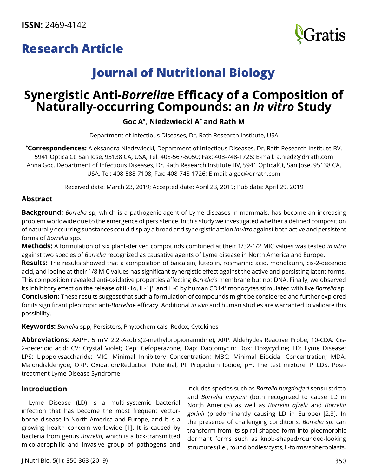# **Research Article**



# **Journal of Nutritional Biology**

# **Synergistic Anti-***Borrelia***e Efficacy of a Composition of Naturally-occurring Compounds: an** *In vitro* **Study**

## **Goc A\* , Niedzwiecki A\* and Rath M**

Department of Infectious Diseases, Dr. Rath Research Institute, USA

**\* Correspondences:** Aleksandra Niedzwiecki, Department of Infectious Diseases, Dr. Rath Research Institute BV, 5941 OpticalCt, San Jose, 95138 CA**,** USA, Tel: 408-567-5050; Fax: 408-748-1726; E-mail: [a.niedz@drrath.com](mailto:a.niedz@drrath.com) Anna Goc, Department of Infectious Diseases, Dr. Rath Research Institute BV, 5941 OpticalCt, San Jose, 95138 CA, USA, Tel: 408-588-7108; Fax: 408-748-1726; E-mail: [a.goc@drrath.com](mailto:a.goc@drrath.com)

Received date: March 23, 2019; Accepted date: April 23, 2019; Pub date: April 29, 2019

### **Abstract**

**Background:** *Borrelia* sp, which is a pathogenic agent of Lyme diseases in mammals, has become an increasing problem worldwide due to the emergence of persistence. In this study we investigated whether a defined composition of naturally occurring substances could display a broad and synergistic action *in vitro* against both active and persistent forms of *Borrelia* spp.

**Methods:** A formulation of six plant-derived compounds combined at their 1/32-1/2 MIC values was tested *in vitro* against two species of *Borrelia* recognized as causative agents of Lyme disease in North America and Europe.

**Results:** The results showed that a composition of baicalein, luteolin, rosmarinic acid, monolaurin, cis-2-decenoic acid, and iodine at their 1/8 MIC values has significant synergistic effect against the active and persisting latent forms. This composition revealed anti-oxidative properties affecting *Borrelia*'s membrane but not DNA. Finally, we observed its inhibitory effect on the release of IL-1α, IL-1β, and IL-6 by human CD14+ monocytes stimulated with live *Borrelia* sp. **Conclusion:** These results suggest that such a formulation of compounds might be considered and further explored for its significant pleotropic anti-*Borrelia*e efficacy. Additional *in vivo* and human studies are warranted to validate this possibility.

**Keywords:** *Borrelia* spp, Persisters, Phytochemicals, Redox, Cytokines

**Abbreviations:** AAPH: 5 mM 2,2'-Azobis(2-methylpropionamidine); ARP: Aldehydes Reactive Probe; 10-CDA: Cis-2-decenoic acid; CV: Crystal Violet; Cep: Cefoperazone; Dap: Daptomycin; Dox: Doxycycline; LD: Lyme Disease; LPS: Lipopolysaccharide; MIC: Minimal Inhibitory Concentration; MBC: Minimal Biocidal Concentration; MDA: Malondialdehyde; ORP: Oxidation/Reduction Potential; PI: Propidium Iodide; pH: The test mixture; PTLDS: Posttreatment Lyme Disease Syndrome

### **Introduction**

Lyme Disease (LD) is a multi-systemic bacterial infection that has become the most frequent vectorborne disease in North America and Europe, and it is a growing health concern worldwide [1]. It is caused by bacteria from genus *Borrelia*, which is a tick-transmitted mico-aerophilic and invasive group of pathogens and

includes species such as *Borrelia burgdorferi* sensu stricto and *Borrelia mayonii* (both recognized to cause LD in North America) as well as *Borrelia afzelii* and *Borrelia garinii* (predominantly causing LD in Europe) [2,3]. In the presence of challenging conditions, *Borrelia sp*. can transform from its spiral-shaped form into pleomorphic dormant forms such as knob-shaped/rounded-looking structures (i.e., round bodies/cysts, L-forms/spheroplasts,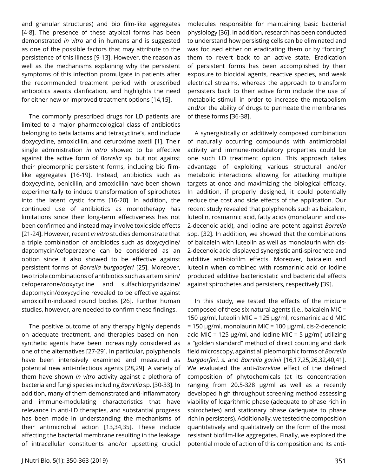and granular structures) and bio film-like aggregates [4-8]. The presence of these atypical forms has been demonstrated *in vitro* and in humans and is suggested as one of the possible factors that may attribute to the persistence of this illness [9-13]. However, the reason as well as the mechanisms explaining why the persistent symptoms of this infection promulgate in patients after the recommended treatment period with prescribed antibiotics awaits clarification, and highlights the need for either new or improved treatment options [14,15].

The commonly prescribed drugs for LD patients are limited to a major pharmacological class of antibiotics belonging to beta lactams and tetracycline's, and include doxycycline, amoxicillin, and cefuroxime axetil [1]. Their single administration *in vitro* showed to be effective against the active form of *Borrelia* sp. but not against their pleomorphic persistent forms, including bio filmlike aggregates [16-19]. Instead, antibiotics such as doxycycline, penicillin, and amoxicillin have been shown experimentally to induce transformation of spirochetes into the latent cystic forms [16-20]. In addition, the continued use of antibiotics as monotherapy has limitations since their long-term effectiveness has not been confirmed and instead may involve toxic side effects [21-24]. However, recent *in vitro* studies demonstrate that a triple combination of antibiotics such as doxycycline/ daptomycin/cefoperazone can be considered as an option since it also showed to be effective against persistent forms of *Borrelia burgdorferi* [25]. Moreover, two triple combinations of antibiotics such as artemisinin/ cefoperazone/doxycycline and sulfachlorpyridazine/ daptomycin/doxycycline revealed to be effective against amoxicillin-induced round bodies [26]. Further human studies, however, are needed to confirm these findings.

The positive outcome of any therapy highly depends on adequate treatment, and therapies based on nonsynthetic agents have been increasingly considered as one of the alternatives [27-29]. In particular, polyphenols have been intensively examined and measured as potential new anti-infectious agents [28,29]. A variety of them have shown *in vitro* activity against a plethora of bacteria and fungi species including *Borrelia* sp. [30-33]. In addition, many of them demonstrated anti-inflammatory and immune-modulating characteristics that have relevance in anti-LD therapies, and substantial progress has been made in understanding the mechanisms of their antimicrobial action [13,34,35]. These include affecting the bacterial membrane resulting in the leakage of intracellular constituents and/or upsetting crucial

molecules responsible for maintaining basic bacterial physiology [36]. In addition, research has been conducted to understand how persisting cells can be eliminated and was focused either on eradicating them or by "forcing" them to revert back to an active state. Eradication of persistent forms has been accomplished by their exposure to biocidal agents, reactive species, and weak electrical streams, whereas the approach to transform persisters back to their active form include the use of metabolic stimuli in order to increase the metabolism and/or the ability of drugs to permeate the membranes of these forms [36-38].

A synergistically or additively composed combination of naturally occurring compounds with antimicrobial activity and immune-modulatory properties could be one such LD treatment option. This approach takes advantage of exploiting various structural and/or metabolic interactions allowing for attacking multiple targets at once and maximizing the biological efficacy. In addition, if properly designed, it could potentially reduce the cost and side effects of the application. Our recent study revealed that polyphenols such as baicalein, luteolin, rosmarinic acid, fatty acids (monolaurin and cis-2-decenoic acid), and iodine are potent against *Borrelia*  spp*.* [32]. In addition, we showed that the combinations of baicalein with luteolin as well as monolaurin with cis-2-decenoic acid displayed synergistic anti-spirochete and additive anti-biofilm effects. Moreover, baicalein and luteolin when combined with rosmarinic acid or iodine produced additive bacteriostatic and bactericidal effects against spirochetes and persisters, respectively [39].

In this study, we tested the effects of the mixture composed of these six natural agents (i.e., baicalein MIC = 150 µg/ml, luteolin MIC = 125 µg/ml, rosmarinic acid MIC = 150 µg/ml, monolaurin MIC = 100 µg/ml, cis-2-decenoic acid MIC = 125  $\mu$ g/ml, and iodine MIC = 5  $\mu$ g/ml) utilizing a "golden standard" method of direct counting and dark field microscopy, against all pleomorphic forms of *Borrelia burgdorferi. s.* and *Borrelia garinii* [16,17,25,26,32,40,41]. We evaluated the anti-*Borrelia*e effect of the defined composition of phytochemicals (at its concentration ranging from 20.5-328 µg/ml as well as a recently developed high throughput screening method assessing viability of logarithmic phase (adequate to phase rich in spirochetes) and stationary phase (adequate to phase rich in persisters). Additionally, we tested the composition quantitatively and qualitatively on the form of the most resistant biofilm-like aggregates. Finally, we explored the potential mode of action of this composition and its anti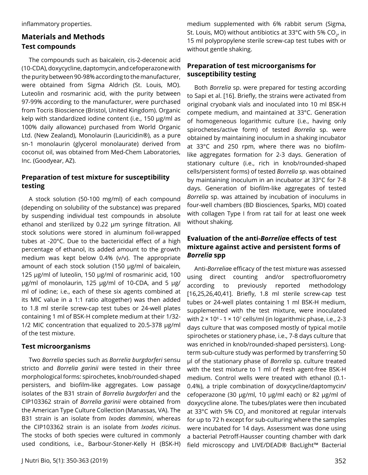inflammatory properties.

## **Materials and Methods Test compounds**

The compounds such as baicalein, cis-2-decenoic acid (10-CDA), doxycycline, daptomycin, and cefoperazone with the purity between 90-98% according to the manufacturer, were obtained from Sigma Aldrich (St. Louis, MO). Luteolin and rosmarinic acid, with the purity between 97-99% according to the manufacturer, were purchased from Tocris Bioscience (Bristol, United Kingdom). Organic kelp with standardized iodine content (i.e., 150 µg/ml as 100% daily allowance) purchased from World Organic Ltd. (New Zealand), Monolaurin (Lauricidin®), as a pure sn-1 monolaurin (glycerol monolaurate) derived from coconut oil, was obtained from Med-Chem Laboratories, Inc. (Goodyear, AZ).

### **Preparation of test mixture for susceptibility testing**

A stock solution (50-100 mg/ml) of each compound (depending on solubility of the substance) was prepared by suspending individual test compounds in absolute ethanol and sterilized by 0.22 µm syringe filtration. All stock solutions were stored in aluminum foil-wrapped tubes at -20°C. Due to the bactericidal effect of a high percentage of ethanol, its added amount to the growth medium was kept below 0.4% (v/v). The appropriate amount of each stock solution (150 µg/ml of baicalein, 125 µg/ml of luteolin, 150 µg/ml of rosmarinic acid, 100 µg/ml of monolaurin, 125 µg/ml of 10-CDA, and 5 µg/ ml of iodine; i.e., each of these six agents combined at its MIC value in a 1:1 ratio altogether) was then added to 1.8 ml sterile screw-cap test tubes or 24-well plates containing 1 ml of BSK-H complete medium at their 1/32- 1/2 MIC concentration that equalized to 20.5-378 µg/ml of the test mixture.

### **Test microorganisms**

Two *Borrelia* species such as *Borrelia burgdorferi* sensu stricto and *Borrelia garinii* were tested in their three morphological forms: spirochetes, knob/rounded-shaped persisters, and biofilm-like aggregates. Low passage isolates of the B31 strain of *Borrelia burgdorferi* and the CIP103362 strain of *Borrelia garinii* were obtained from the American Type Culture Collection (Manassas, VA). The B31 strain is an isolate from *Ixodes dammini*, whereas the CIP103362 strain is an isolate from *Ixodes ricinus*. The stocks of both species were cultured in commonly used conditions, i.e., Barbour-Stoner-Kelly H (BSK-H) medium supplemented with 6% rabbit serum (Sigma, St. Louis, MO) without antibiotics at 33 $\degree$ C with 5% CO<sub>2</sub>, in 15 ml polypropylene sterile screw-cap test tubes with or without gentle shaking.

## **Preparation of test microorganisms for susceptibility testing**

Both *Borrelia* sp. were prepared for testing according to Sapi et al. [16]. Briefly, the strains were activated from original cryobank vials and inoculated into 10 ml BSK-H compete medium, and maintained at 33°C. Generation of homogeneous logarithmic culture (i.e., having only spirochetes/active form) of tested *Borrelia* sp. were obtained by maintaining inoculum in a shaking incubator at 33°C and 250 rpm, where there was no biofilmlike aggregates formation for 2-3 days. Generation of stationary culture (i.e., rich in knob/rounded-shaped cells/persistent forms) of tested *Borrelia sp*. was obtained by maintaining inoculum in an incubator at 33°C for 7-8 days. Generation of biofilm-like aggregates of tested *Borrelia* sp. was attained by incubation of inoculums in four-well chambers (BD Biosciences, Sparks, MD) coated with collagen Type I from rat tail for at least one week without shaking.

## **Evaluation of the anti-***Borrelia***e effects of test mixture against active and persistent forms of**  *Borrelia* **spp**

Anti-*Borrelia*e efficacy of the test mixture was assessed using direct counting and/or spectrofluorometry according to previously reported methodology [16,25,26,40,41]. Briefly, 1.8 ml sterile screw-cap test tubes or 24-well plates containing 1 ml BSK-H medium, supplemented with the test mixture, were inoculated with  $2 \times 10^6$  - 1  $\times$  10<sup>7</sup> cells/ml (in logarithmic phase, i.e., 2-3 days culture that was composed mostly of typical motile spirochetes or stationery phase, i.e., 7-8 days culture that was enriched in knob/rounded-shaped persisters). Longterm sub-culture study was performed by transferring 50 µl of the stationary phase of *Borrelia* sp. culture treated with the test mixture to 1 ml of fresh agent-free BSK-H medium. Control wells were treated with ethanol (0.1- 0.4%), a triple combination of doxycycline/daptomycin/ cefoperazone (30 µg/ml, 10 µg/ml each) or 82 µg/ml of doxycycline alone. The tubes/plates were then incubated at 33 $\degree$ C with 5% CO<sub>2</sub> and monitored at regular intervals for up to 72 h except for sub-culturing where the samples were incubated for 14 days. Assessment was done using a bacterial Petroff-Hausser counting chamber with dark field microscopy and LIVE/DEAD® BacLight™ Bacterial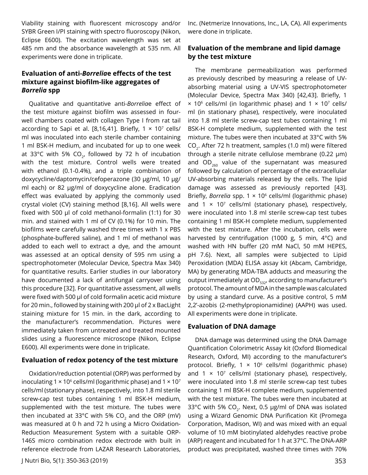Viability staining with fluorescent microscopy and/or SYBR Green I/PI staining with spectro fluoroscopy (Nikon, Eclipse E600). The excitation wavelength was set at 485 nm and the absorbance wavelength at 535 nm. All experiments were done in triplicate.

#### **Evaluation of anti-***Borrelia***e effects of the test mixture against biofilm-like aggregates of**  *Borrelia* **spp**

Qualitative and quantitative anti-*Borrelia*e effect of the test mixture against biofilm was assessed in fourwell chambers coated with collagen Type I from rat tail according to Sapi et al. [8,16,41]. Briefly,  $1 \times 10^7$  cells/ ml was inoculated into each sterile chamber containing 1 ml BSK-H medium, and incubated for up to one week at 33°C with 5% CO<sub>2</sub>, followed by 72 h of incubation with the test mixture. Control wells were treated with ethanol (0.1-0.4%), and a triple combination of doxycycline/daptomycin/cefoperazone (30 µg/ml, 10 µg/ ml each) or 82 µg/ml of doxycycline alone. Eradication effect was evaluated by applying the commonly used crystal violet (CV) staining method [8,16]. All wells were fixed with 500 μl of cold methanol-formalin (1:1) for 30 min. and stained with 1 ml of CV (0.1%) for 10 min. The biofilms were carefully washed three times with 1 x PBS (phosphate-buffered saline), and 1 ml of methanol was added to each well to extract a dye, and the amount was assessed at an optical density of 595 nm using a spectrophotometer (Molecular Device, Spectra Max 340) for quantitative results. Earlier studies in our laboratory have documented a lack of antifungal carryover using this procedure [32]. For quantitative assessment, all wells were fixed with 500 µl of cold formalin acetic acid mixture for 20 min., followed by staining with 200 µl of 2 x BacLight staining mixture for 15 min. in the dark, according to the manufacturer's recommendation. Pictures were immediately taken from untreated and treated mounted slides using a fluorescence microscope (Nikon, Eclipse E600). All experiments were done in triplicate.

#### **Evaluation of redox potency of the test mixture**

Oxidation/reduction potential (ORP) was performed by inoculating 1  $\times$  10<sup>6</sup> cells/ml (logarithmic phase) and 1  $\times$  10<sup>7</sup> cells/ml (stationary phase), respectively, into 1.8 ml sterile screw-cap test tubes containing 1 ml BSK-H medium, supplemented with the test mixture. The tubes were then incubated at 33°C with 5% CO<sub>2</sub> and the ORP (mV) was measured at 0 h and 72 h using a Micro Oxidation-Reduction Measurement System with a suitable ORP-146S micro combination redox electrode with built in reference electrode from LAZAR Research Laboratories,

Inc. (Netmerize Innovations, Inc., LA, CA). All experiments were done in triplicate.

#### **Evaluation of the membrane and lipid damage by the test mixture**

The membrane permeabilization was performed as previously described by measuring a release of UVabsorbing material using a UV-VIS spectrophotometer (Molecular Device, Spectra Max 340) [42,43]. Briefly, 1  $\times$  10<sup>6</sup> cells/ml (in logarithmic phase) and 1  $\times$  10<sup>7</sup> cells/ ml (in stationary phase), respectively, were inoculated into 1.8 ml sterile screw-cap test tubes containing 1 ml BSK-H complete medium, supplemented with the test mixture. The tubes were then incubated at 33°C with 5% CO2. After 72 h treatment, samples (1.0 ml) were filtered through a sterile nitrate cellulose membrane (0.22 μm) and  $OD_{260}$  value of the supernatant was measured followed by calculation of percentage of the extracellular UV-absorbing materials released by the cells. The lipid damage was assessed as previously reported [43]. Briefly, *Borrelia* spp. 1 × 106 cells/ml (logarithmic phase) and  $1 \times 10^7$  cells/ml (stationary phase), respectively, were inoculated into 1.8 ml sterile screw-cap test tubes containing 1 ml BSK-H complete medium, supplemented with the test mixture. After the incubation, cells were harvested by centrifugation (1000 g, 5 min, 4°C) and washed with HN buffer (20 mM NaCl, 50 mM HEPES, pH 7.6). Next, all samples were subjected to Lipid Peroxidation (MDA) ELISA assay kit (Abcam, Cambridge, MA) by generating MDA-TBA adducts and measuring the output immediately at OD<sub>532</sub>, according to manufacturer's protocol. The amount of MDA in the sample was calculated by using a standard curve. As a positive control, 5 mM 2,2'-azobis (2-methylpropionamidine) (AAPH) was used. All experiments were done in triplicate.

#### **Evaluation of DNA damage**

DNA damage was determined using the DNA Damage Quantification Colorimetric Assay kit (Oxford Biomedical Research, Oxford, MI) according to the manufacturer's protocol. Briefly,  $1 \times 10^6$  cells/ml (logarithmic phase) and 1  $\times$  10<sup>7</sup> cells/ml (stationary phase), respectively, were inoculated into 1.8 ml sterile screw-cap test tubes containing 1 ml BSK-H complete medium, supplemented with the test mixture. The tubes were then incubated at 33°C with 5% CO<sub>2</sub>. Next, 0.5  $\mu$ g/ml of DNA was isolated using a Wizard Genomic DNA Purification Kit (Promega Corporation, Madison, WI) and was mixed with an equal volume of 10 mM biotinylated aldehydes reactive probe (ARP) reagent and incubated for 1 h at 37°C. The DNA-ARP product was precipitated, washed three times with 70%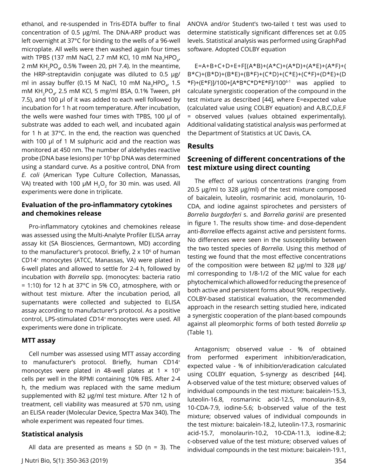ethanol, and re-suspended in Tris-EDTA buffer to final concentration of 0.5 µg/ml. The DNA-ARP product was left overnight at 37°C for binding to the wells of a 96-well microplate. All wells were then washed again four times with TPBS (137 mM NaCl, 2.7 mM KCl, 10 mM Na<sub>2</sub>HPO<sub>4</sub>, 2 mM KH<sub>2</sub>PO<sub>4</sub>, 0.5% Tween 20, pH 7.4). In the meantime, the HRP-streptavidin conjugate was diluted to 0.5 µg/ ml in assay buffer (0.15 M NaCl, 10 mM Na<sub>2</sub>HPO<sub>4</sub>, 1.5 mM KH<sub>2</sub>PO<sub>4</sub>, 2.5 mM KCl, 5 mg/ml BSA, 0.1% Tween, pH 7.5), and 100 µl of it was added to each well followed by incubation for 1 h at room temperature. After incubation, the wells were washed four times with TPBS, 100 µl of substrate was added to each well, and incubated again for 1 h at 37°C. In the end, the reaction was quenched with 100 µl of 1 M sulphuric acid and the reaction was monitored at 450 nm. The number of aldehydes reactive probe (DNA base lesions) per 10<sup>5</sup> bp DNA was determined using a standard curve. As a positive control, DNA from *E. coli* (American Type Culture Collection, Manassas, VA) treated with 100  $\mu$ M H<sub>2</sub>O<sub>2</sub> for 30 min. was used. All experiments were done in triplicate.

#### **Evaluation of the pro-inflammatory cytokines and chemokines release**

Pro-inflammatory cytokines and chemokines release was assessed using the Multi-Analyte Profiler ELISA array assay kit (SA Biosciences, Germantown, MD) according to the manufacturer's protocol. Briefly,  $2 \times 10^6$  of human CD14+ monocytes (ATCC, Manassas, VA) were plated in 6-well plates and allowed to settle for 2-4 h, followed by incubation with *Borrelia* spp. (monocytes: bacteria ratio  $= 1:10$ ) for 12 h at 37°C in 5% CO<sub>2</sub> atmosphere, with or without test mixture. After the incubation period, all supernatants were collected and subjected to ELISA assay according to manufacturer's protocol. As a positive control, LPS-stimulated CD14+ monocytes were used. All experiments were done in triplicate.

#### **MTT assay**

Cell number was assessed using MTT assay according to manufacturer's protocol. Briefly, human CD14+ monocytes were plated in 48-well plates at 1  $\times$  10<sup>5</sup> cells per well in the RPMI containing 10% FBS. After 2-4 h, the medium was replaced with the same medium supplemented with 82 µg/ml test mixture. After 12 h of treatment, cell viability was measured at 570 nm, using an ELISA reader (Molecular Device, Spectra Max 340). The whole experiment was repeated four times.

#### **Statistical analysis**

All data are presented as means  $\pm$  SD (n = 3). The

ANOVA and/or Student's two-tailed t test was used to determine statistically significant differences set at 0.05 levels. Statistical analysis was performed using GraphPad software. Adopted COLBY equation

E=A+B+C+D+E+F[(A\*B)+(A\*C)+(A\*D)+(A\*E)+(A\*F)+( B\*C)+(B\*D)+(B\*E)+(B\*F)+(C\*D)+(C\*E)+(C\*F)+(D\*E)+(D \*F)+(E\*F)]/100+[A\*B\*C\*D\*E\*F]/1006-1 was applied to calculate synergistic cooperation of the compound in the test mixture as described [44], where E=expected value (calculated value using COLBY equation) and A,B,C,D,E,F = observed values (values obtained experimentally). Additional validating statistical analysis was performed at the Department of Statistics at UC Davis, CA.

#### **Results**

#### **Screening of different concentrations of the test mixture using direct counting**

The effect of various concentrations (ranging from 20.5 µg/ml to 328 µg/ml) of the test mixture composed of baicalein, luteolin, rosmarinic acid, monolaurin, 10- CDA, and iodine against spirochetes and persisters of *Borrelia burgdorferi* s. and *Borrelia garinii* are presented in figure 1. The results show time- and dose-dependent anti-*Borrelia*e effects against active and persistent forms. No differences were seen in the susceptibility between the two tested species of *Borrelia*. Using this method of testing we found that the most effective concentrations of the composition were between 82 µg/ml to 328 µg/ ml corresponding to 1/8-1/2 of the MIC value for each phytochemical which allowed for reducing the presence of both active and persistent forms about 90%, respectively. COLBY-based statistical evaluation, the recommended approach in the research setting studied here, indicated a synergistic cooperation of the plant-based compounds against all pleomorphic forms of both tested *Borrelia sp* (Table 1).

Antagonism; observed value - % of obtained from performed experiment inhibition/eradication, expected value - % of inhibition/eradication calculated using COLBY equation, S-synergy as described [44]. A-observed value of the test mixture; observed values of individual compounds in the test mixture: baicalein-15.3, luteolin-16.8, rosmarinic acid-12.5, monolaurin-8.9, 10-CDA-7.9, iodine-5.6; b-observed value of the test mixture; observed values of individual compounds in the test mixture: baicalein-18.2, luteolin-17.3, rosmarinic acid-15.7, monolaurin-10.2, 10-CDA-11.3, iodine-8.2; c-observed value of the test mixture; observed values of individual compounds in the test mixture: baicalein-19.1,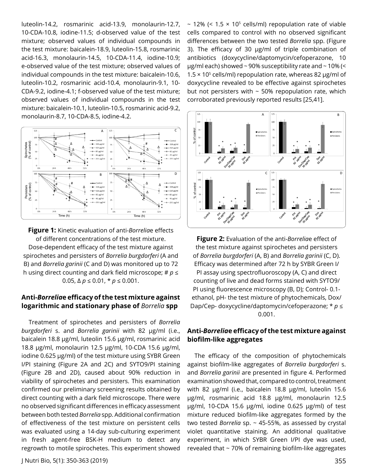luteolin-14.2, rosmarinic acid-13.9, monolaurin-12.7, 10-CDA-10.8, iodine-11.5; d-observed value of the test mixture; observed values of individual compounds in the test mixture: baicalein-18.9, luteolin-15.8, rosmarinic acid-16.3, monolaurin-14.5, 10-CDA-11.4, iodine-10.9; e-observed value of the test mixture; observed values of individual compounds in the test mixture: baicalein-10.6, luteolin-10.2, rosmarinic acid-10.4, monolaurin-9.1, 10- CDA-9.2, iodine-4.1; f-observed value of the test mixture; observed values of individual compounds in the test mixture: baicalein-10.1, luteolin-10.5, rosmarinic acid-9.2, monolaurin-8.7, 10-CDA-8.5, iodine-4.2.



**Figure 1:** Kinetic evaluation of anti-*Borrelia*e effects of different concentrations of the test mixture. Dose-dependent efficacy of the test mixture against spirochetes and persisters of *Borrelia burgdorferi* (A and B) and *Borrelia garinii* (C and D) was monitored up to 72 h using direct counting and dark field microscope; # *p* ≤ 0.05,  $\Delta p$  ≤ 0.01, \*  $p$  ≤ 0.001.

#### **Anti-***Borrelia***e efficacy of the test mixture against logarithmic and stationary phase of** *Borrelia* **spp**

Treatment of spirochetes and persisters of *Borrelia burgdorferi* s. and *Borrelia garinii* with 82 µg/ml (i.e., baicalein 18.8 µg/ml, luteolin 15.6 µg/ml, rosmarinic acid 18.8 µg/ml, monolaurin 12.5 µg/ml, 10-CDA 15.6 µg/ml, iodine 0.625 µg/ml) of the test mixture using SYBR Green I/PI staining (Figure 2A and 2C) and SYTO9/PI staining (Figure 2B and 2D), caused about 90% reduction in viability of spirochetes and persisters. This examination confirmed our preliminary screening results obtained by direct counting with a dark field microscope. There were no observed significant differences in efficacy assessment between both tested *Borrelia* spp. Additional confirmation of effectiveness of the test mixture on persistent cells was evaluated using a 14-day sub-culturing experiment in fresh agent-free BSK-H medium to detect any regrowth to motile spirochetes. This experiment showed

~ 12% (<  $1.5 \times 10^5$  cells/ml) repopulation rate of viable cells compared to control with no observed significant differences between the two tested *Borrelia* spp. (Figure 3). The efficacy of 30 µg/ml of triple combination of antibiotics (doxycycline/daptomycin/cefoperazone, 10 µg/ml each) showed ~ 90% susceptibility rate and ~ 10% (< 1.5  $\times$  10<sup>5</sup> cells/ml) repopulation rate, whereas 82 µg/ml of doxycycline revealed to be effective against spirochetes but not persisters with  $\sim$  50% repopulation rate, which corroborated previously reported results [25,41].



**Figure 2:** Evaluation of the anti-*Borrelia*e effect of the test mixture against spirochetes and persisters of *Borrelia burgdorferi* (A, B) and *Borrelia garinii* (C, D). Efficacy was determined after 72 h by SYBR Green I/ PI assay using spectrofluoroscopy (A, C) and direct counting of live and dead forms stained with SYTO9/ PI using fluorescence microscopy (B, D); Control- 0.1 ethanol, pH- the test mixture of phytochemicals, Dox/ Dap/Cep- doxycycline/daptomycin/cefoperazone; \* *p* ≤ 0.001.

#### **Anti-***Borrelia***e efficacy of the test mixture against biofilm-like aggregates**

The efficacy of the composition of phytochemicals against biofilm-like aggregates of *Borrelia burgdorferi* s. and *Borrelia garinii* are presented in figure 4. Performed examination showed that, compared to control, treatment with 82 µg/ml (i.e., baicalein 18.8 µg/ml, luteolin 15.6 µg/ml, rosmarinic acid 18.8 µg/ml, monolaurin 12.5 µg/ml, 10-CDA 15.6 µg/ml, iodine 0.625 µg/ml) of test mixture reduced biofilm-like aggregates formed by the two tested *Borrelia* sp. ~ 45-55%, as assessed by crystal violet quantitative staining. An additional qualitative experiment, in which SYBR Green I/PI dye was used, revealed that ~ 70% of remaining biofilm-like aggregates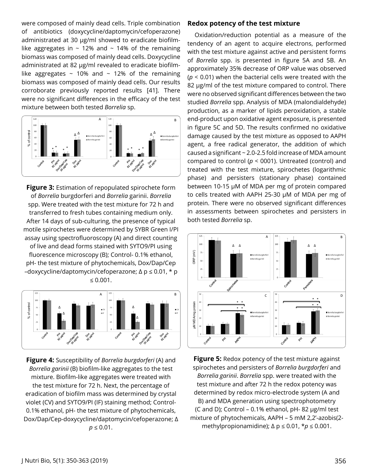were composed of mainly dead cells. Triple combination of antibiotics (doxycycline/daptomycin/cefoperazone) administrated at 30 µg/ml showed to eradicate biofilmlike aggregates in  $\sim$  12% and  $\sim$  14% of the remaining biomass was composed of mainly dead cells. Doxycycline administrated at 82 µg/ml revealed to eradicate biofilmlike aggregates  $\sim$  10% and  $\sim$  12% of the remaining biomass was composed of mainly dead cells. Our results corroborate previously reported results [41]. There were no significant differences in the efficacy of the test mixture between both tested *Borrelia* sp.



**Figure 3:** Estimation of repopulated spirochete form of *Borrelia* burgdorferi and *Borrelia* garinii. *Borrelia* spp. Were treated with the test mixture for 72 h and transferred to fresh tubes containing medium only. After 14 days of sub-culturing, the presence of typical motile spirochetes were determined by SYBR Green I/PI assay using spectrofluoroscopy (A) and direct counting of live and dead forms stained with SYTO9/PI using fluorescence microscopy (B); Control- 0.1% ethanol, pH- the test mixture of phytochemicals, Dox/Dap/Cep –doxycycline/daptomycin/cefoperazone; ∆ p ≤ 0.01, \* p ≤ 0.001.



**Figure 4:** Susceptibility of *Borrelia burgdorferi* (A) and *Borrelia garinii* (B) biofilm-like aggregates to the test mixture. Biofilm-like aggregates were treated with the test mixture for 72 h. Next, the percentage of eradication of biofilm mass was determined by crystal violet (CV) and SYTO9/PI (IF) staining method; Control-0.1% ethanol, pH- the test mixture of phytochemicals, Dox/Dap/Cep-doxycycline/daptomycin/cefoperazone; ∆  $p \le 0.01$ .

#### **Redox potency of the test mixture**

Oxidation/reduction potential as a measure of the tendency of an agent to acquire electrons, performed with the test mixture against active and persistent forms of *Borrelia* spp. is presented in figure 5A and 5B. An approximately 35% decrease of ORP value was observed (*p* < 0.01) when the bacterial cells were treated with the 82 µg/ml of the test mixture compared to control. There were no observed significant differences between the two studied *Borrelia* spp. Analysis of MDA (malondialdehyde) production, as a marker of lipids peroxidation, a stable end-product upon oxidative agent exposure, is presented in figure 5C and 5D. The results confirmed no oxidative damage caused by the test mixture as opposed to AAPH agent, a free radical generator, the addition of which caused a significant ~ 2.0-2.5 fold increase of MDA amount compared to control ( $p < 0001$ ). Untreated (control) and treated with the test mixture, spirochetes (logarithmic phase) and persisters (stationary phase) contained between 10-15 µM of MDA per mg of protein compared to cells treated with AAPH 25-30 µM of MDA per mg of protein. There were no observed significant differences in assessments between spirochetes and persisters in both tested *Borrelia* sp.



**Figure 5:** Redox potency of the test mixture against spirochetes and persisters of *Borrelia burgdorferi* and *Borrelia garinii*. *Borrelia* spp. were treated with the test mixture and after 72 h the redox potency was determined by redox micro-electrode system (A and B) and MDA generation using spectrophotometry (C and D); Control – 0.1% ethanol,  $pH-82 \mu g/ml$  test mixture of phytochemicals, AAPH – 5 mM 2,2'-azobis(2 methylpropionamidine);  $\Delta p \leq 0.01$ ,  $\star p \leq 0.001$ .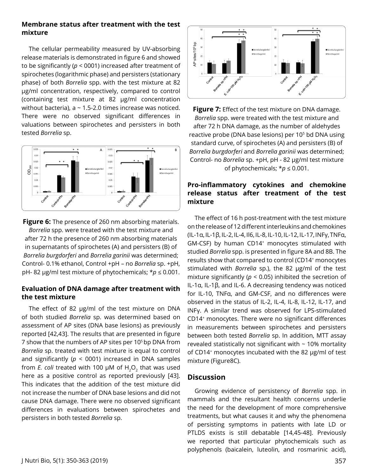#### **Membrane status after treatment with the test mixture**

The cellular permeability measured by UV-absorbing release materials is demonstrated in figure 6 and showed to be significantly (*p* < 0001) increased after treatment of spirochetes (logarithmic phase) and persisters (stationary phase) of both *Borrelia* spp. with the test mixture at 82 µg/ml concentration, respectively, compared to control (containing test mixture at 82 µg/ml concentration without bacteria),  $a \sim 1.5$ -2.0 times increase was noticed. There were no observed significant differences in valuations between spirochetes and persisters in both tested *Borrelia* sp.



**Figure 6:** The presence of 260 nm absorbing materials. *Borrelia* spp. were treated with the test mixture and after 72 h the presence of 260 nm absorbing materials in supernatants of spirochetes (A) and persisters (B) of *Borrelia burgdorferi* and *Borrelia garinii* was determined; Control- 0.1% ethanol, Control +pH – no *Borrelia* sp. +pH, pH- 82 µg/ml test mixture of phytochemicals; \**p* ≤ 0.001.

## **Evaluation of DNA damage after treatment with the test mixture**

The effect of 82 µg/ml of the test mixture on DNA of both studied *Borrelia* sp. was determined based on assessment of AP sites (DNA base lesions) as previously reported [42,43]. The results that are presented in figure 7 show that the numbers of AP sites per 10<sup>5</sup> bp DNA from *Borrelia* sp. treated with test mixture is equal to control and significantly (*p* < 0001) increased in DNA samples from *E. coli* treated with 100 µM of H<sub>2</sub>O<sub>2</sub> that was used here as a positive control as reported previously [43]. This indicates that the addition of the test mixture did not increase the number of DNA base lesions and did not cause DNA damage. There were no observed significant differences in evaluations between spirochetes and persisters in both tested *Borrelia* sp.



**Figure 7:** Effect of the test mixture on DNA damage. *Borrelia* spp. were treated with the test mixture and after 72 h DNA damage, as the number of aldehydes reactive probe (DNA base lesions) per 10<sup>5</sup> bd DNA using standard curve, of spirochetes (A) and persisters (B) of *Borrelia burgdorferi* and *Borrelia garinii* was determined; Control- no *Borrelia* sp. +pH, pH - 82 µg/ml test mixture of phytochemicals;  $* p \leq 0.001$ .

## **Pro-inflammatory cytokines and chemokine release status after treatment of the test mixture**

The effect of 16 h post-treatment with the test mixture on the release of 12 different interleukins and chemokines (IL-1α, IL-1β, IL-2, IL-4, Il6, IL-8, IL-10, IL-12, IL-17, INFγ, TNFα, GM-CSF) by human CD14<sup>+</sup> monocytes stimulated with studied *Borrelia* spp. is presented in figure 8A and 8B. The results show that compared to control (CD14+ monocytes stimulated with *Borrelia* sp.), the 82 µg/ml of the test mixture significantly (*p* < 0.05) inhibited the secretion of IL-1α, IL-1β, and IL-6. A decreasing tendency was noticed for IL-10, TNFα, and GM-CSF, and no differences were observed in the status of IL-2, IL-4, IL-8, IL-12, IL-17, and INFγ. A similar trend was observed for LPS-stimulated CD14+ monocytes. There were no significant differences in measurements between spirochetes and persisters between both tested *Borrelia* sp. In addition, MTT assay revealed statistically not significant with  $\sim$  10% mortality of CD14+ monocytes incubated with the 82 µg/ml of test mixture (Figure8C).

### **Discussion**

Growing evidence of persistency of *Borrelia* spp. in mammals and the resultant health concerns underlie the need for the development of more comprehensive treatments, but what causes it and why the phenomena of persisting symptoms in patients with late LD or PTLDS exists is still debatable [14,45-48]. Previously we reported that particular phytochemicals such as polyphenols (baicalein, luteolin, and rosmarinic acid),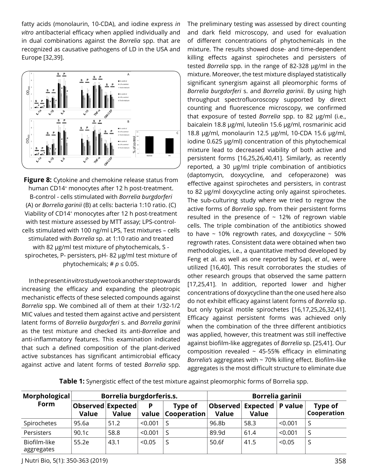fatty acids (monolaurin, 10-CDA), and iodine express *in vitro* antibacterial efficacy when applied individually and in dual combinations against the *Borrelia* spp. that are recognized as causative pathogens of LD in the USA and Europe [32,39].



**Figure 8:** Cytokine and chemokine release status from human CD14<sup>+</sup> monocytes after 12 h post-treatment. B-control - cells stimulated with *Borrelia burgdorferi* (A) or *Borrelia garinii* (B) at cells: bacteria 1:10 ratio. (C) Viability of CD14+ monocytes after 12 h post-treatment with test mixture assessed by MTT assay; LPS-controlcells stimulated with 100 ng/ml LPS, Test mixtures – cells stimulated with *Borrelia* sp. at 1:10 ratio and treated with 82 µg/ml test mixture of phytochemicals, S spirochetes, P- persisters, pH- 82 µg/ml test mixture of phytochemicals;  $\# p \leq 0.05$ .

In the present *in vitro* study we took another step towards increasing the efficacy and expanding the pleotropic mechanistic effects of these selected compounds against *Borrelia* spp. We combined all of them at their 1/32-1/2 MIC values and tested them against active and persistent latent forms of *Borrelia burgdorferi* s. and *Borrelia garinii* as the test mixture and checked its anti-*Borrelia*e and anti-inflammatory features. This examination indicated that such a defined composition of the plant-derived active substances has significant antimicrobial efficacy against active and latent forms of tested *Borrelia* spp. The preliminary testing was assessed by direct counting and dark field microscopy, and used for evaluation of different concentrations of phytochemicals in the mixture. The results showed dose- and time-dependent killing effects against spirochetes and persisters of tested *Borrelia* spp. in the range of 82-328 µg/ml in the mixture. Moreover, the test mixture displayed statistically significant synergism against all pleomorphic forms of *Borrelia burgdorferi* s. and *Borrelia garinii*. By using high throughput spectrofluoroscopy supported by direct counting and fluorescence microscopy, we confirmed that exposure of tested *Borrelia* spp. to 82 µg/ml (i.e., baicalein 18.8 µg/ml, luteolin 15.6 µg/ml, rosmarinic acid 18.8 µg/ml, monolaurin 12.5 µg/ml, 10-CDA 15.6 µg/ml, iodine 0.625 µg/ml) concentration of this phytochemical mixture lead to decreased viability of both active and persistent forms [16,25,26,40,41]. Similarly, as recently reported, a 30 µg/ml triple combination of antibiotics (daptomycin, doxycycline, and cefoperazone) was effective against spirochetes and persisters, in contrast to 82 µg/ml doxycycline acting only against spirochetes. The sub-culturing study where we tried to regrow the active forms of *Borrelia* spp. from their persistent forms resulted in the presence of  $\sim$  12% of regrown viable cells. The triple combination of the antibiotics showed to have  $\sim$  10% regrowth rates, and doxycycline  $\sim$  50% regrowth rates. Consistent data were obtained when two methodologies, i.e., a quantitative method developed by Feng et al. as well as one reported by Sapi, *et al.,* were utilized [16,40]. This result corroborates the studies of other research groups that observed the same pattern [17,25,41]. In addition, reported lower and higher concentrations of doxycycline than the one used here also do not exhibit efficacy against latent forms of *Borrelia* sp. but only typical motile spirochetes [16,17,25,26,32,41]. Efficacy against persistent forms was achieved only when the combination of the three different antibiotics was applied, however, this treatment was still ineffective against biofilm-like aggregates of *Borrelia* sp. [25,41]. Our composition revealed  $\sim$  45-55% efficacy in eliminating *Borrelia's* aggregates with ~ 70% killing effect. Biofilm-like aggregates is the most difficult structure to eliminate due

**Table 1:** Synergistic effect of the test mixture against pleomorphic forms of Borrelia spp.

| Morphological<br>Form      | Borrelia burgdorferis.s.          |       |            |                        | <b>Borrelia garinii</b> |                                              |         |                        |
|----------------------------|-----------------------------------|-------|------------|------------------------|-------------------------|----------------------------------------------|---------|------------------------|
|                            | Observed Expected<br><b>Value</b> | Value | P<br>value | Type of<br>Cooperation | <b>Value</b>            | Observed  Expected   P value<br><b>Value</b> |         | Type of<br>Cooperation |
| Spirochetes                | 95.6a                             | 51.2  | < 0.001    |                        | 96.8b                   | 58.3                                         | < 0.001 | S                      |
| Persisters                 | 90.1c                             | 58.8  | < 0.001    | -S                     | 89.9d                   | 61.4                                         | < 0.001 | S                      |
| Biofilm-like<br>aggregates | 55.2e                             | 43.1  | < 0.05     |                        | 50.6f                   | 41.5                                         | < 0.05  | S                      |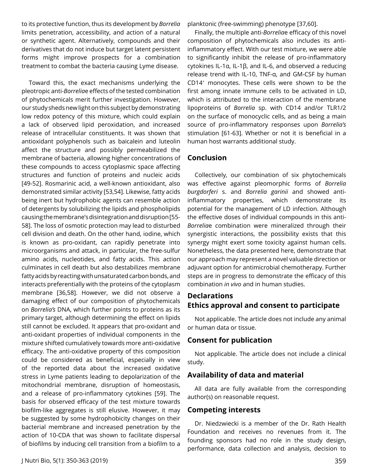to its protective function, thus its development by *Borrelia* limits penetration, accessibility, and action of a natural or synthetic agent. Alternatively, compounds and their derivatives that do not induce but target latent persistent forms might improve prospects for a combination treatment to combat the bacteria causing Lyme disease.

Toward this, the exact mechanisms underlying the pleotropic anti-*Borrelia*e effects of the tested combination of phytochemicals merit further investigation. However, our study sheds new light on this subject by demonstrating low redox potency of this mixture, which could explain a lack of observed lipid peroxidation, and increased release of intracellular constituents. It was shown that antioxidant polyphenols such as baicalein and luteolin affect the structure and possibly permeabilized the membrane of bacteria, allowing higher concentrations of these compounds to access cytoplasmic space affecting structures and function of proteins and nucleic acids [49-52]. Rosmarinic acid, a well-known antioxidant, also demonstrated similar activity [53,54]. Likewise, fatty acids being inert but hydrophobic agents can resemble action of detergents by solubilizing the lipids and phospholipids causing the membrane's disintegration and disruption [55- 58]. The loss of osmotic protection may lead to disturbed cell division and death. On the other hand, iodine, which is known as pro-oxidant, can rapidly penetrate into microorganisms and attack, in particular, the free-sulfur amino acids, nucleotides, and fatty acids. This action culminates in cell death but also destabilizes membrane fatty acids by reacting with unsaturated carbon bonds, and interacts preferentially with the proteins of the cytoplasm membrane [36,58]. However, we did not observe a damaging effect of our composition of phytochemicals on *Borrelia's* DNA, which further points to proteins as its primary target, although determining the effect on lipids still cannot be excluded. It appears that pro-oxidant and anti-oxidant properties of individual components in the mixture shifted cumulatively towards more anti-oxidative efficacy. The anti-oxidative property of this composition could be considered as beneficial, especially in view of the reported data about the increased oxidative stress in Lyme patients leading to depolarization of the mitochondrial membrane, disruption of homeostasis, and a release of pro-inflammatory cytokines [59]. The basis for observed efficacy of the test mixture towards biofilm-like aggregates is still elusive. However, it may be suggested by some hydrophobicity changes on their bacterial membrane and increased penetration by the action of 10-CDA that was shown to facilitate dispersal of biofilms by inducing cell transition from a biofilm to a

planktonic (free-swimming) phenotype [37,60].

Finally, the multiple anti-*Borrelia*e efficacy of this novel composition of phytochemicals also includes its antiinflammatory effect. With our test mixture, we were able to significantly inhibit the release of pro-inflammatory cytokines IL-1α, IL-1β, and IL-6, and observed a reducing release trend with IL-10, TNF-α, and GM-CSF by human CD14+ monocytes. These cells were shown to be the first among innate immune cells to be activated in LD, which is attributed to the interaction of the membrane lipoproteins of *Borrelia* sp. with CD14 and/or TLR1/2 on the surface of monocyclic cells, and as being a main source of pro-inflammatory responses upon *Borrelia's* stimulation [61-63]. Whether or not it is beneficial in a human host warrants additional study.

## **Conclusion**

Collectively, our combination of six phytochemicals was effective against pleomorphic forms of *Borrelia burgdorferi* s. and *Borrelia garinii* and showed antiinflammatory properties, which demonstrate its potential for the management of LD infection. Although the effective doses of individual compounds in this anti-*Borrelia*e combination were mineralized through their synergistic interactions, the possibility exists that this synergy might exert some toxicity against human cells. Nonetheless, the data presented here, demonstrate that our approach may represent a novel valuable direction or adjuvant option for antimicrobial chemotherapy. Further steps are in progress to demonstrate the efficacy of this combination *in vivo* and in human studies.

## **Declarations Ethics approval and consent to participate**

Not applicable. The article does not include any animal or human data or tissue.

## **Consent for publication**

Not applicable. The article does not include a clinical study.

## **Availability of data and material**

All data are fully available from the corresponding author(s) on reasonable request.

## **Competing interests**

Dr. Niedzwiecki is a member of the Dr. Rath Health Foundation and receives no revenues from it. The founding sponsors had no role in the study design, performance, data collection and analysis, decision to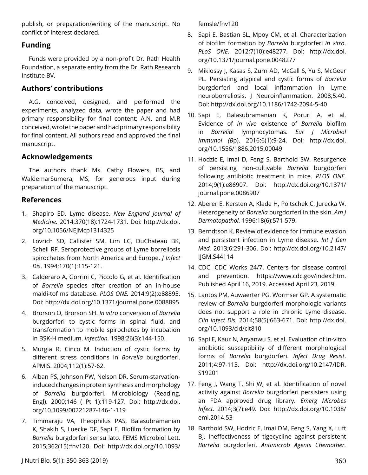publish, or preparation/writing of the manuscript. No conflict of interest declared.

## **Funding**

Funds were provided by a non-profit Dr. Rath Health Foundation, a separate entity from the Dr. Rath Research Institute BV.

# **Authors' contributions**

A.G. conceived, designed, and performed the experiments, analyzed data, wrote the paper and had primary responsibility for final content; A.N. and M.R conceived, wrote the paper and had primary responsibility for final content. All authors read and approved the final manuscript.

## **Acknowledgements**

The authors thank Ms. Cathy Flowers, BS, and WaldemarSumera, MS, for generous input during preparation of the manuscript.

## **References**

- 1. Shapiro ED. Lyme disease. *New England Journal of Medicine.* 2014;370(18):1724-1731. Doi: [http://dx.doi.](http://dx.doi.org/10.1056/NEJMcp1314325) [org/10.1056/NEJMcp1314325](http://dx.doi.org/10.1056/NEJMcp1314325)
- 2. Lovrich SD, Callister SM, Lim LC, DuChateau BK, Schell RF. Seroprotective groups of Lyme borreliosis spirochetes from North America and Europe. *J Infect Dis*. 1994;170(1):115-121.
- 3. Calderaro A, Gorrini C, Piccolo G, et al. Identification of *Borrelia* species after creation of an in-house maldi-tof ms database. *PLOS ONE.* 2014;9(2):e88895. Doi:<http://dx.doi.org/10.1371/journal.pone.0088895>
- 4. Brorson O, Brorson SH. *In vitro* conversion of *Borrelia* burgdorferi to cystic forms in spinal fluid, and transformation to mobile spirochetes by incubation in BSK-H medium. *Infection.* 1998;26(3):144-150.
- 5. Murgia R, Cinco M. Induction of cystic forms by different stress conditions in *Borrelia* burgdorferi. APMIS. 2004;112(1):57-62.
- 6. Alban PS, Johnson PW, Nelson DR. Serum-starvationinduced changes in protein synthesis and morphology of *Borrelia* burgdorferi. Microbiology (Reading, Engl). 2000;146 ( Pt 1):119-127. Doi: [http://dx.doi.](http://dx.doi.org/10.1099/00221287-146-1-119) [org/10.1099/00221287-146-1-119](http://dx.doi.org/10.1099/00221287-146-1-119)
- 7. Timmaraju VA, Theophilus PAS, Balasubramanian K, Shakih S, Luecke DF, Sapi E. Biofilm formation by *Borrelia* burgdorferi sensu lato. FEMS Microbiol Lett. 2015;362(15):fnv120. Doi: [http://dx.doi.org/10.1093/](http://dx.doi.org/10.1093/femsle/fnv120)

[femsle/fnv120](http://dx.doi.org/10.1093/femsle/fnv120)

- 8. Sapi E, Bastian SL, Mpoy CM, et al. Characterization of biofilm formation by *Borrelia* burgdorferi *in vitro*. *PLoS ONE*. 2012;7(10):e48277. Doi: [http://dx.doi.](http://dx.doi.org/10.1371/journal.pone.0048277) [org/10.1371/journal.pone.0048277](http://dx.doi.org/10.1371/journal.pone.0048277)
- 9. Miklossy J, Kasas S, Zurn AD, McCall S, Yu S, McGeer PL. Persisting atypical and cystic forms of *Borrelia* burgdorferi and local inflammation in Lyme neuroborreliosis. J Neuroinflammation. 2008;5:40. Doi:<http://dx.doi.org/10.1186/1742-2094-5-40>
- 10. Sapi E, Balasubramanian K, Poruri A, et al. Evidence of *in vivo* existence of *Borrelia* biofilm in *Borrelia*l lymphocytomas. *Eur J Microbiol Immunol (B*p). 2016;6(1):9-24. Doi: [http://dx.doi.](http://dx.doi.org/10.1556/1886.2015.00049) [org/10.1556/1886.2015.00049](http://dx.doi.org/10.1556/1886.2015.00049)
- 11. Hodzic E, Imai D, Feng S, Barthold SW. Resurgence of persisting non-cultivable *Borrelia* burgdorferi following antibiotic treatment in mice. *PLOS ONE.* 2014;9(1):e86907. Doi: [http://dx.doi.org/10.1371/](http://dx.doi.org/10.1371/journal.pone.0086907) [journal.pone.0086907](http://dx.doi.org/10.1371/journal.pone.0086907)
- 12. Aberer E, Kersten A, Klade H, Poitschek C, Jurecka W. Heterogeneity of *Borrelia* burgdorferi in the skin. *Am J Dermatopathol.* 1996;18(6):571-579.
- 13. Berndtson K. Review of evidence for immune evasion and persistent infection in Lyme disease. *Int J Gen Med.* 2013;6:291-306. Doi: [http://dx.doi.org/10.2147/](http://dx.doi.org/10.2147/IJGM.S44114) [IJGM.S44114](http://dx.doi.org/10.2147/IJGM.S44114)
- 14. CDC. CDC Works 24/7. Centers for disease control and prevention. [https://www.cdc.gov/index.htm.](https://www.cdc.gov/index.htm. Published April 16) [Published April 16](https://www.cdc.gov/index.htm. Published April 16), 2019. Accessed April 23, 2019.
- 15. Lantos PM, Auwaerter PG, Wormser GP. A systematic review of *Borrelia* burgdorferi morphologic variants does not support a role in chronic Lyme disease. *Clin Infect Dis.* 2014;58(5):663-671. Doi: [http://dx.doi.](http://dx.doi.org/10.1093/cid/cit810) [org/10.1093/cid/cit810](http://dx.doi.org/10.1093/cid/cit810)
- 16. Sapi E, Kaur N, Anyanwu S, et al. Evaluation of in-vitro antibiotic susceptibility of different morphological forms of *Borrelia* burgdorferi. *Infect Drug Resist*. 2011;4:97-113. Doi: [http://dx.doi.org/10.2147/IDR.](http://dx.doi.org/10.2147/IDR.S19201) [S19201](http://dx.doi.org/10.2147/IDR.S19201)
- 17. Feng J, Wang T, Shi W, et al. Identification of novel activity against *Borrelia* burgdorferi persisters using an FDA approved drug library. *Emerg Microbes Infect.* 2014;3(7):e49. Doi: [http://dx.doi.org/10.1038/](http://dx.doi.org/10.1038/emi.2014.53) [emi.2014.53](http://dx.doi.org/10.1038/emi.2014.53)
- 18. Barthold SW, Hodzic E, Imai DM, Feng S, Yang X, Luft BJ. Ineffectiveness of tigecycline against persistent *Borrelia* burgdorferi. *Antimicrob Agents Chemother.*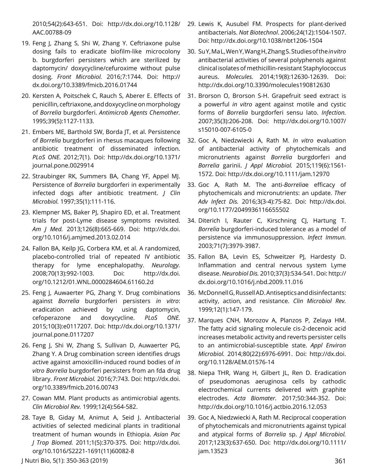2010;54(2):643-651. Doi: [http://dx.doi.org/10.1128/](http://dx.doi.org/10.1128/AAC.00788-09) [AAC.00788-09](http://dx.doi.org/10.1128/AAC.00788-09)

- 19. Feng J, Zhang S, Shi W, Zhang Y. Ceftriaxone pulse dosing fails to eradicate biofilm-like microcolony b. burgdorferi persisters which are sterilized by daptomycin/ doxycycline/cefuroxime without pulse dosing. *Front Microbiol.* 2016;7:1744. Doi: [http://](http://dx.doi.org/10.3389/fmicb.2016.01744) [dx.doi.org/10.3389/fmicb.2016.01744](http://dx.doi.org/10.3389/fmicb.2016.01744)
- 20. Kersten A, Poitschek C, Rauch S, Aberer E. Effects of penicillin, ceftriaxone, and doxycycline on morphology of *Borrelia* burgdorferi. *Antimicrob Agents Chemother.* 1995;39(5):1127-1133.
- 21. Embers ME, Barthold SW, Borda JT, et al. Persistence of *Borrelia* burgdorferi in rhesus macaques following antibiotic treatment of disseminated infection. *PLoS ONE.* 2012;7(1). Doi: [http://dx.doi.org/10.1371/](http://dx.doi.org/10.1371/journal.pone.0029914) [journal.pone.0029914](http://dx.doi.org/10.1371/journal.pone.0029914)
- 22. Straubinger RK, Summers BA, Chang YF, Appel MJ. Persistence of *Borrelia* burgdorferi in experimentally infected dogs after antibiotic treatment. *J Clin Microbiol.* 1997;35(1):111-116.
- 23. Klempner MS, Baker PJ, Shapiro ED, et al. Treatment trials for post-Lyme disease symptoms revisited. *Am J Med.* 2013;126(8):665-669. Doi: [http://dx.doi.](http://dx.doi.org/10.1016/j.amjmed.2013.02.014) [org/10.1016/j.amjmed.2013.02.014](http://dx.doi.org/10.1016/j.amjmed.2013.02.014)
- 24. Fallon BA, Keilp JG, Corbera KM, et al. A randomized, placebo-controlled trial of repeated IV antibiotic therapy for lyme encephalopathy. *Neurology.* 2008;70(13):992-1003. Doi: [http://dx.doi.](http://dx.doi.org/10.1212/01.WNL.0000284604.61160.2d) [org/10.1212/01.WNL.0000284604.61160.2d](http://dx.doi.org/10.1212/01.WNL.0000284604.61160.2d)
- 25. Feng J, Auwaerter PG, Zhang Y. Drug combinations against *Borrelia* burgdorferi persisters *in vitro*: eradication achieved by using daptomycin, cefoperazone and doxycycline. *PLoS ONE.* 2015;10(3):e0117207. Doi: [http://dx.doi.org/10.1371/](http://dx.doi.org/10.1371/journal.pone.0117207) [journal.pone.0117207](http://dx.doi.org/10.1371/journal.pone.0117207)
- 26. Feng J, Shi W, Zhang S, Sullivan D, Auwaerter PG, Zhang Y. A Drug combination screen identifies drugs active against amoxicillin-induced round bodies of *in vitro Borrelia* burgdorferi persisters from an fda drug library. *Front Microbiol.* 2016;7:743. Doi: [http://dx.doi.](http://dx.doi.org/10.3389/fmicb.2016.00743) [org/10.3389/fmicb.2016.00743](http://dx.doi.org/10.3389/fmicb.2016.00743)
- 27. Cowan MM. Plant products as antimicrobial agents. *Clin Microbiol Rev.* 1999;12(4):564-582.
- 28. Taye B, Giday M, Animut A, Seid J. Antibacterial activities of selected medicinal plants in traditional treatment of human wounds in Ethiopia. *Asian Pac J Trop Biomed.* 2011;1(5):370-375. Doi: [http://dx.doi.](http://dx.doi.org/10.1016/S2221-1691(11)60082-8) [org/10.1016/S2221-1691\(11\)60082-8](http://dx.doi.org/10.1016/S2221-1691(11)60082-8)
- 29. Lewis K, Ausubel FM. Prospects for plant-derived antibacterials. *Nat Biotechnol*. 2006;24(12):1504-1507. Doi:<http://dx.doi.org/10.1038/nbt1206-1504>
- 30. Su Y, Ma L, Wen Y, Wang H, Zhang S. Studies of the *in vitro* antibacterial activities of several polyphenols against clinical isolates of methicillin-resistant Staphylococcus aureus. *Molecules.* 2014;19(8):12630-12639. Doi: <http://dx.doi.org/10.3390/molecules190812630>
- 31. Brorson O, Brorson S-H. Grapefruit seed extract is a powerful *in vitro* agent against motile and cystic forms of *Borrelia* burgdorferi sensu lato. *Infection.* 2007;35(3):206-208. Doi: [http://dx.doi.org/10.1007/](http://dx.doi.org/10.1007/s15010-007-6105-0) [s15010-007-6105-0](http://dx.doi.org/10.1007/s15010-007-6105-0)
- 32. Goc A, Niedzwiecki A, Rath M. *In vitro* evaluation of antibacterial activity of phytochemicals and micronutrients against *Borrelia* burgdorferi and *Borrelia* garinii. *J Appl Microbiol.* 2015;119(6):1561- 1572. Doi:<http://dx.doi.org/10.1111/jam.12970>
- 33. Goc A, Rath M. The anti-*Borrelia*e efficacy of phytochemicals and micronutrients: an update. *Ther Adv Infect Dis.* 2016;3(3-4):75-82. Doi: [http://dx.doi.](http://dx.doi.org/10.1177/2049936116655502) [org/10.1177/2049936116655502](http://dx.doi.org/10.1177/2049936116655502)
- 34. Diterich I, Rauter C, Kirschning CJ, Hartung T. *Borrelia* burgdorferi-induced tolerance as a model of persistence via immunosuppression. *Infect Immun.* 2003;71(7):3979-3987.
- 35. Fallon BA, Levin ES, Schweitzer PJ, Hardesty D. Inflammation and central nervous system Lyme disease. *Neurobiol Dis.* 2010;37(3):534-541. Doi: [http://](http://dx.doi.org/10.1016/j.nbd.2009.11.016) [dx.doi.org/10.1016/j.nbd.2009.11.016](http://dx.doi.org/10.1016/j.nbd.2009.11.016)
- 36. McDonnell G, Russell AD. Antiseptics and disinfectants: activity, action, and resistance. *Clin Microbiol Rev.* 1999;12(1):147-179.
- 37. Marques CNH, Morozov A, Planzos P, Zelaya HM. The fatty acid signaling molecule cis-2-decenoic acid increases metabolic activity and reverts persister cells to an antimicrobial-susceptible state. *Appl Environ Microbiol.* 2014;80(22):6976-6991. Doi: [http://dx.doi.](http://dx.doi.org/10.1128/AEM.01576-14) [org/10.1128/AEM.01576-14](http://dx.doi.org/10.1128/AEM.01576-14)
- 38. Niepa THR, Wang H, Gilbert JL, Ren D. Eradication of pseudomonas aeruginosa cells by cathodic electrochemical currents delivered with graphite electrodes. *Acta Biomater.* 2017;50:344-352. Doi: <http://dx.doi.org/10.1016/j.actbio.2016.12.053>
- 39. Goc A, Niedzwiecki A, Rath M. Reciprocal cooperation of phytochemicals and micronutrients against typical and atypical forms of *Borrelia* sp. *J Appl Microbiol.* 2017;123(3):637-650. Doi: [http://dx.doi.org/10.1111/](http://dx.doi.org/10.1111/jam.13523) [jam.13523](http://dx.doi.org/10.1111/jam.13523)

J Nutri Bio, 5(1): 350-363 (2019) 361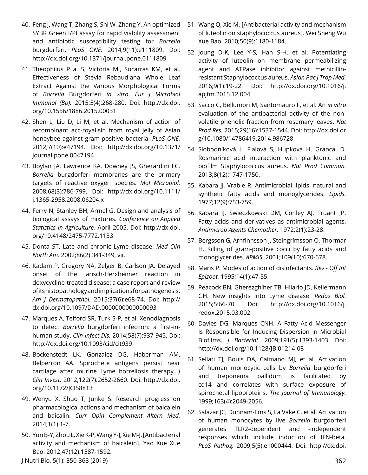- 40. Feng J, Wang T, Zhang S, Shi W, Zhang Y. An optimized SYBR Green I/PI assay for rapid viability assessment and antibiotic susceptibility testing for *Borrelia* burgdorferi. *PLoS ONE.* 2014;9(11):e111809. Doi: <http://dx.doi.org/10.1371/journal.pone.0111809>
- 41. Theophilus P a. S, Victoria MJ, Socarras KM, et al. Effectiveness of Stevia Rebaudiana Whole Leaf Extract Against the Various Morphological Forms of *Borrelia* Burgdorferi *in vitro*. *Eur J Microbiol Immunol (Bp).* 2015;5(4):268-280. Doi: [http://dx.doi.](http://dx.doi.org/10.1556/1886.2015.00031) [org/10.1556/1886.2015.00031](http://dx.doi.org/10.1556/1886.2015.00031)
- 42. Shen L, Liu D, Li M, et al. Mechanism of action of recombinant acc-royalisin from royal jelly of Asian honeybee against gram-positive bacteria. *PLoS ONE.* 2012;7(10):e47194. Doi: [http://dx.doi.org/10.1371/](http://dx.doi.org/10.1371/journal.pone.0047194) [journal.pone.0047194](http://dx.doi.org/10.1371/journal.pone.0047194)
- 43. Boylan JA, Lawrence KA, Downey JS, Gherardini FC. *Borrelia* burgdorferi membranes are the primary targets of reactive oxygen species. *Mol Microbiol.* 2008;68(3):786-799. Doi: [http://dx.doi.org/10.1111/](http://dx.doi.org/10.1111/j.1365-2958.2008.06204.x) [j.1365-2958.2008.06204.x](http://dx.doi.org/10.1111/j.1365-2958.2008.06204.x)
- 44. Ferry N, Stanley BH, Armel G. Design and analysis of biological assays of mixtures. *Conference on Applied Statistics in Agriculture.* April 2005. Doi: [http://dx.doi.](http://dx.doi.org/10.4148/2475-7772.1133) [org/10.4148/2475-7772.1133](http://dx.doi.org/10.4148/2475-7772.1133)
- 45. Donta ST. Late and chronic Lyme disease. *Med Clin North Am.* 2002;86(2):341-349, vii.
- 46. Kadam P, Gregory NA, Zelger B, Carlson JA. Delayed onset of the Jarisch-Herxheimer reaction in doxycycline-treated disease: a case report and review of its histopathology and implications for pathogenesis. *Am J Dermatopathol.* 2015;37(6):e68-74. Doi: [http://](http://dx.doi.org/10.1097/DAD.0000000000000093) [dx.doi.org/10.1097/DAD.0000000000000093](http://dx.doi.org/10.1097/DAD.0000000000000093)
- 47. Marques A, Telford SR, Turk S-P, et al. Xenodiagnosis to detect *Borrelia* burgdorferi infection: a first-inhuman study. *Clin Infect Dis.* 2014;58(7):937-945. Doi: <http://dx.doi.org/10.1093/cid/cit939>
- 48. Bockenstedt LK, Gonzalez DG, Haberman AM, Belperron AA. Spirochete antigens persist near cartilage after murine Lyme borreliosis therapy. *J Clin Invest.* 2012;122(7):2652-2660. Doi: [http://dx.doi.](http://dx.doi.org/10.1172/JCI58813) [org/10.1172/JCI58813](http://dx.doi.org/10.1172/JCI58813)
- 49. Wenyu X, Shuo T, Junke S. Research progress on pharmacological actions and mechanism of baicalein and baicalin. *Curr Opin Complement Altern Med.* 2014;1(1):1-7.
- 50. Yun B-Y, Zhou L, Xie K-P, Wang Y-J, Xie M-J. [Antibacterial activity and mechanism of baicalein]. Yao Xue Xue Bao. 2012;47(12):1587-1592.
- 51. Wang Q, Xie M. [Antibacterial activity and mechanism of luteolin on staphylococcus aureus]. Wei Sheng Wu Xue Bao. 2010;50(9):1180-1184.
- 52. Joung D-K, Lee Y-S, Han S-H, et al. Potentiating activity of luteolin on membrane permeabilizing agent and ATPase inhibitor against methicillinresistant Staphylococcus aureus. *Asian Pac J Trop Med.* 2016;9(1):19-22. Doi: [http://dx.doi.org/10.1016/j.](http://dx.doi.org/10.1016/j.apjtm.2015.12.004) [apjtm.2015.12.004](http://dx.doi.org/10.1016/j.apjtm.2015.12.004)
- 53. Sacco C, Bellumori M, Santomauro F, et al. An *in vitro* evaluation of the antibacterial activity of the nonvolatile phenolic fraction from rosemary leaves. *Nat Prod Res.* 2015;29(16):1537-1544. Doi: [http://dx.doi.or](http://dx.doi.org/10.1080/14786419.2014.986728) [g/10.1080/14786419.2014.986728](http://dx.doi.org/10.1080/14786419.2014.986728)
- 54. Slobodníková L, Fialová S, Hupková H, Grancai D. Rosmarinic acid interaction with planktonic and biofilm Staphylococcus aureus. *Nat Prod Commun.* 2013;8(12):1747-1750.
- 55. Kabara JJ, Vrable R. Antimicrobial lipids: natural and synthetic fatty acids and monoglycerides. *Lipids.* 1977;12(9):753-759.
- 56. Kabara JJ, Swieczkowski DM, Conley AJ, Truant JP. Fatty acids and derivatives as antimicrobial agents. *Antimicrob Agents Chemother.* 1972;2(1):23-28.
- 57. Bergsson G, Arnfinnsson J, Steingrímsson O, Thormar H. Killing of gram-positive cocci by fatty acids and monoglycerides. *APMIS.* 2001;109(10):670-678.
- 58. Maris P. Modes of action of disinfectants. *Rev Off Int Epizoot.* 1995;14(1):47-55.
- 59. Peacock BN, Gherezghiher TB, Hilario JD, Kellermann GH. New insights into Lyme disease. *Redox Biol.* 2015;5:66-70. Doi: [http://dx.doi.org/10.1016/j.](http://dx.doi.org/10.1016/j.redox.2015.03.002) [redox.2015.03.002](http://dx.doi.org/10.1016/j.redox.2015.03.002)
- 60. Davies DG, Marques CNH. A Fatty Acid Messenger Is Responsible for Inducing Dispersion in Microbial Biofilms. *J Bacteriol.* 2009;191(5):1393-1403. Doi: <http://dx.doi.org/10.1128/JB.01214-08>
- 61. Sellati TJ, Bouis DA, Caimano MJ, et al. Activation of human monocytic cells by *Borrelia* burgdorferi and treponema pallidum is facilitated by cd14 and correlates with surface exposure of spirochetal lipoproteins. *The Journal of Immunology.* 1999;163(4):2049-2056.
- 62. Salazar JC, Duhnam-Ems S, La Vake C, et al. Activation of human monocytes by live *Borrelia* burgdorferi generates TLR2-dependent and -independent responses which include induction of IFN-beta. *PLoS Pathog.* 2009;5(5):e1000444. Doi: [http://dx.doi.](http://dx.doi.org/10.1371/journal.ppat.1000444)

J Nutri Bio, 5(1): 350-363 (2019) 362